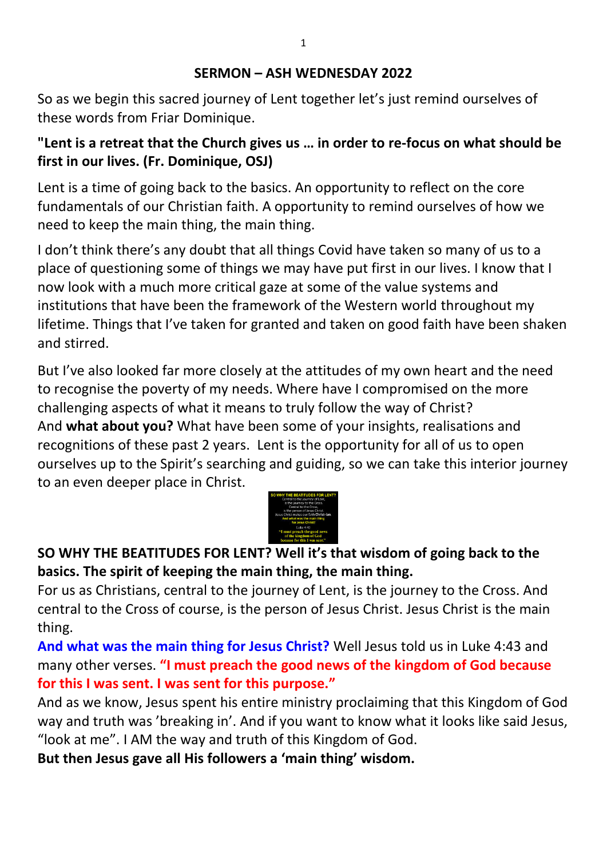#### **SERMON – ASH WEDNESDAY 2022**

So as we begin this sacred journey of Lent together let's just remind ourselves of these words from Friar Dominique.

## **"Lent is a retreat that the Church gives us … in order to re-focus on what should be first in our lives. (Fr. Dominique, OSJ)**

Lent is a time of going back to the basics. An opportunity to reflect on the core fundamentals of our Christian faith. A opportunity to remind ourselves of how we need to keep the main thing, the main thing.

I don't think there's any doubt that all things Covid have taken so many of us to a place of questioning some of things we may have put first in our lives. I know that I now look with a much more critical gaze at some of the value systems and institutions that have been the framework of the Western world throughout my lifetime. Things that I've taken for granted and taken on good faith have been shaken and stirred.

But I've also looked far more closely at the attitudes of my own heart and the need to recognise the poverty of my needs. Where have I compromised on the more challenging aspects of what it means to truly follow the way of Christ? And **what about you?** What have been some of your insights, realisations and recognitions of these past 2 years. Lent is the opportunity for all of us to open ourselves up to the Spirit's searching and guiding, so we can take this interior journey to an even deeper place in Christ.



# **SO WHY THE BEATITUDES FOR LENT? Well it's that wisdom of going back to the basics. The spirit of keeping the main thing, the main thing.**

For us as Christians, central to the journey of Lent, is the journey to the Cross. And central to the Cross of course, is the person of Jesus Christ. Jesus Christ is the main thing.

**And what was the main thing for Jesus Christ?** Well Jesus told us in Luke 4:43 and many other verses. **"I must preach the good news of the kingdom of God because for this I was sent. I was sent for this purpose."**

And as we know, Jesus spent his entire ministry proclaiming that this Kingdom of God way and truth was 'breaking in'. And if you want to know what it looks like said Jesus, "look at me". I AM the way and truth of this Kingdom of God.

**But then Jesus gave all His followers a 'main thing' wisdom.**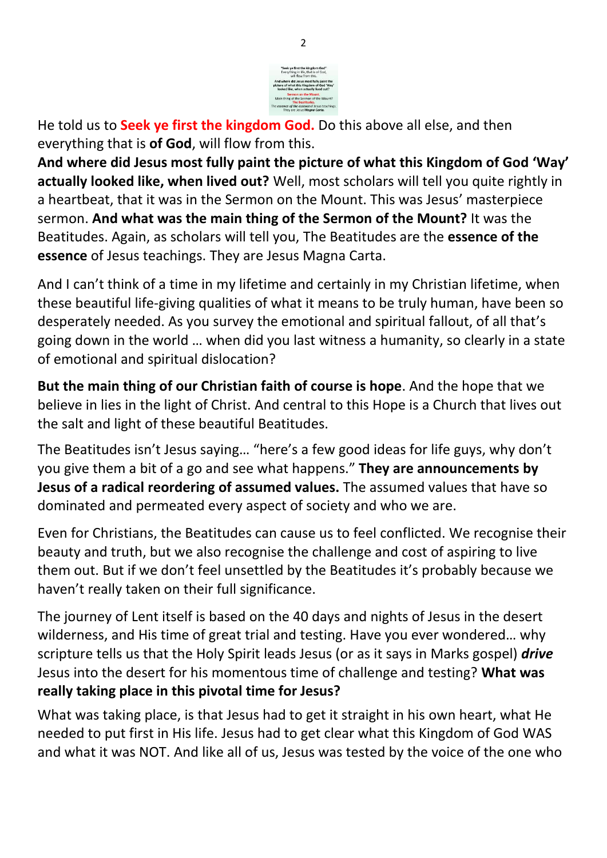

He told us to **Seek ye first the kingdom God.** Do this above all else, and then everything that is **of God**, will flow from this.

**And where did Jesus most fully paint the picture of what this Kingdom of God 'Way' actually looked like, when lived out?** Well, most scholars will tell you quite rightly in a heartbeat, that it was in the Sermon on the Mount. This was Jesus' masterpiece sermon. **And what was the main thing of the Sermon of the Mount?** It was the Beatitudes. Again, as scholars will tell you, The Beatitudes are the **essence of the essence** of Jesus teachings. They are Jesus Magna Carta.

And I can't think of a time in my lifetime and certainly in my Christian lifetime, when these beautiful life-giving qualities of what it means to be truly human, have been so desperately needed. As you survey the emotional and spiritual fallout, of all that's going down in the world … when did you last witness a humanity, so clearly in a state of emotional and spiritual dislocation?

**But the main thing of our Christian faith of course is hope**. And the hope that we believe in lies in the light of Christ. And central to this Hope is a Church that lives out the salt and light of these beautiful Beatitudes.

The Beatitudes isn't Jesus saying… "here's a few good ideas for life guys, why don't you give them a bit of a go and see what happens." **They are announcements by Jesus of a radical reordering of assumed values.** The assumed values that have so dominated and permeated every aspect of society and who we are.

Even for Christians, the Beatitudes can cause us to feel conflicted. We recognise their beauty and truth, but we also recognise the challenge and cost of aspiring to live them out. But if we don't feel unsettled by the Beatitudes it's probably because we haven't really taken on their full significance.

The journey of Lent itself is based on the 40 days and nights of Jesus in the desert wilderness, and His time of great trial and testing. Have you ever wondered… why scripture tells us that the Holy Spirit leads Jesus (or as it says in Marks gospel) *drive*  Jesus into the desert for his momentous time of challenge and testing? **What was really taking place in this pivotal time for Jesus?** 

What was taking place, is that Jesus had to get it straight in his own heart, what He needed to put first in His life. Jesus had to get clear what this Kingdom of God WAS and what it was NOT. And like all of us, Jesus was tested by the voice of the one who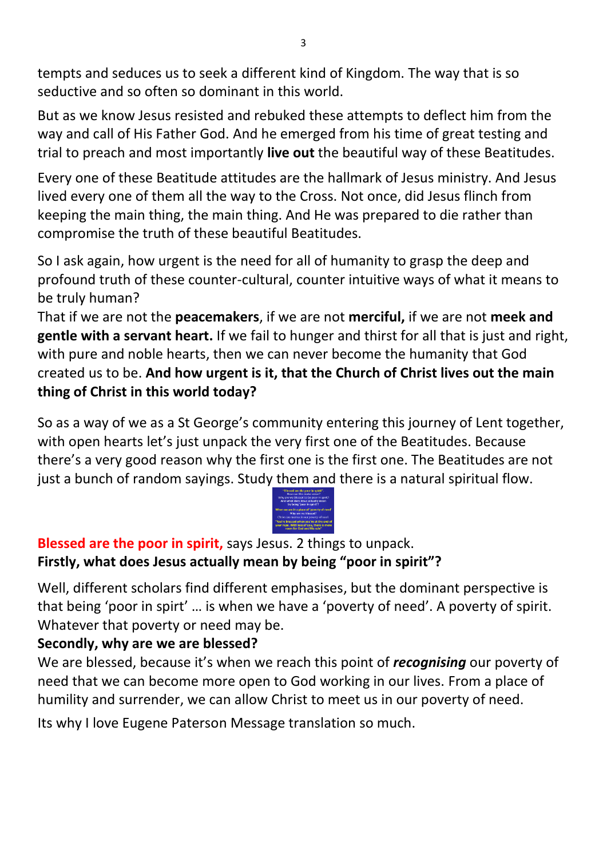tempts and seduces us to seek a different kind of Kingdom. The way that is so seductive and so often so dominant in this world.

But as we know Jesus resisted and rebuked these attempts to deflect him from the way and call of His Father God. And he emerged from his time of great testing and trial to preach and most importantly **live out** the beautiful way of these Beatitudes.

Every one of these Beatitude attitudes are the hallmark of Jesus ministry. And Jesus lived every one of them all the way to the Cross. Not once, did Jesus flinch from keeping the main thing, the main thing. And He was prepared to die rather than compromise the truth of these beautiful Beatitudes.

So I ask again, how urgent is the need for all of humanity to grasp the deep and profound truth of these counter-cultural, counter intuitive ways of what it means to be truly human?

That if we are not the **peacemakers**, if we are not **merciful,** if we are not **meek and gentle with a servant heart.** If we fail to hunger and thirst for all that is just and right, with pure and noble hearts, then we can never become the humanity that God created us to be. **And how urgent is it, that the Church of Christ lives out the main thing of Christ in this world today?** 

So as a way of we as a St George's community entering this journey of Lent together, with open hearts let's just unpack the very first one of the Beatitudes. Because there's a very good reason why the first one is the first one. The Beatitudes are not just a bunch of random sayings. Study them and there is a natural spiritual flow.



**Blessed are the poor in spirit,** says Jesus. 2 things to unpack. **Firstly, what does Jesus actually mean by being "poor in spirit"?**

Well, different scholars find different emphasises, but the dominant perspective is that being 'poor in spirt' … is when we have a 'poverty of need'. A poverty of spirit. Whatever that poverty or need may be.

### **Secondly, why are we are blessed?**

We are blessed, because it's when we reach this point of *recognising* our poverty of need that we can become more open to God working in our lives. From a place of humility and surrender, we can allow Christ to meet us in our poverty of need.

Its why I love Eugene Paterson Message translation so much.